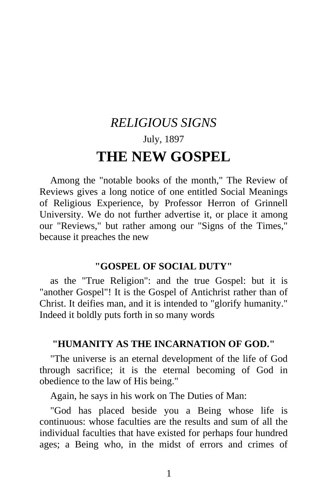# *RELIGIOUS SIGNS*  July, 1897 **THE NEW GOSPEL**

Among the "notable books of the month," The Review of Reviews gives a long notice of one entitled Social Meanings of Religious Experience, by Professor Herron of Grinnell University. We do not further advertise it, or place it among our "Reviews," but rather among our "Signs of the Times," because it preaches the new

## **"GOSPEL OF SOCIAL DUTY"**

as the "True Religion": and the true Gospel: but it is "another Gospel"! It is the Gospel of Antichrist rather than of Christ. It deifies man, and it is intended to "glorify humanity." Indeed it boldly puts forth in so many words

# **"HUMANITY AS THE INCARNATION OF GOD."**

"The universe is an eternal development of the life of God through sacrifice; it is the eternal becoming of God in obedience to the law of His being."

Again, he says in his work on The Duties of Man:

"God has placed beside you a Being whose life is continuous: whose faculties are the results and sum of all the individual faculties that have existed for perhaps four hundred ages; a Being who, in the midst of errors and crimes of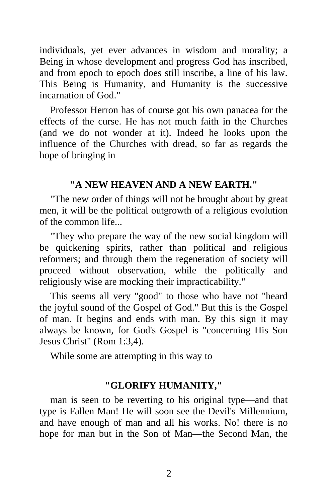individuals, yet ever advances in wisdom and morality; a Being in whose development and progress God has inscribed, and from epoch to epoch does still inscribe, a line of his law. This Being is Humanity, and Humanity is the successive incarnation of God."

Professor Herron has of course got his own panacea for the effects of the curse. He has not much faith in the Churches (and we do not wonder at it). Indeed he looks upon the influence of the Churches with dread, so far as regards the hope of bringing in

## **"A NEW HEAVEN AND A NEW EARTH."**

"The new order of things will not be brought about by great men, it will be the political outgrowth of a religious evolution of the common life...

"They who prepare the way of the new social kingdom will be quickening spirits, rather than political and religious reformers; and through them the regeneration of society will proceed without observation, while the politically and religiously wise are mocking their impracticability."

This seems all very "good" to those who have not "heard the joyful sound of the Gospel of God." But this is the Gospel of man. It begins and ends with man. By this sign it may always be known, for God's Gospel is "concerning His Son Jesus Christ" (Rom 1:3,4).

While some are attempting in this way to

#### **"GLORIFY HUMANITY,"**

man is seen to be reverting to his original type—and that type is Fallen Man! He will soon see the Devil's Millennium, and have enough of man and all his works. No! there is no hope for man but in the Son of Man—the Second Man, the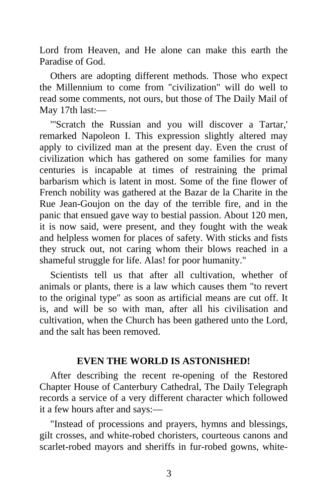Lord from Heaven, and He alone can make this earth the Paradise of God.

Others are adopting different methods. Those who expect the Millennium to come from "civilization" will do well to read some comments, not ours, but those of The Daily Mail of May 17th last:—

"'Scratch the Russian and you will discover a Tartar,' remarked Napoleon I. This expression slightly altered may apply to civilized man at the present day. Even the crust of civilization which has gathered on some families for many centuries is incapable at times of restraining the primal barbarism which is latent in most. Some of the fine flower of French nobility was gathered at the Bazar de la Charite in the Rue Jean-Goujon on the day of the terrible fire, and in the panic that ensued gave way to bestial passion. About 120 men, it is now said, were present, and they fought with the weak and helpless women for places of safety. With sticks and fists they struck out, not caring whom their blows reached in a shameful struggle for life. Alas! for poor humanity."

Scientists tell us that after all cultivation, whether of animals or plants, there is a law which causes them "to revert to the original type" as soon as artificial means are cut off. It is, and will be so with man, after all his civilisation and cultivation, when the Church has been gathered unto the Lord, and the salt has been removed.

## **EVEN THE WORLD IS ASTONISHED!**

After describing the recent re-opening of the Restored Chapter House of Canterbury Cathedral, The Daily Telegraph records a service of a very different character which followed it a few hours after and says:—

"Instead of processions and prayers, hymns and blessings, gilt crosses, and white-robed choristers, courteous canons and scarlet-robed mayors and sheriffs in fur-robed gowns, white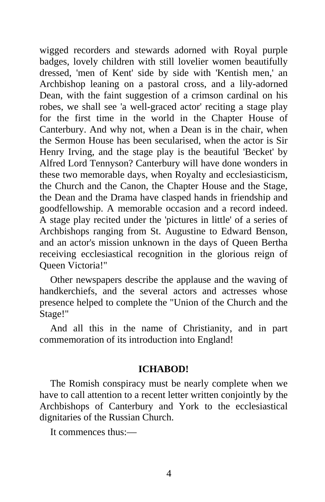wigged recorders and stewards adorned with Royal purple badges, lovely children with still lovelier women beautifully dressed, 'men of Kent' side by side with 'Kentish men,' an Archbishop leaning on a pastoral cross, and a lily-adorned Dean, with the faint suggestion of a crimson cardinal on his robes, we shall see 'a well-graced actor' reciting a stage play for the first time in the world in the Chapter House of Canterbury. And why not, when a Dean is in the chair, when the Sermon House has been secularised, when the actor is Sir Henry Irving, and the stage play is the beautiful 'Becket' by Alfred Lord Tennyson? Canterbury will have done wonders in these two memorable days, when Royalty and ecclesiasticism, the Church and the Canon, the Chapter House and the Stage, the Dean and the Drama have clasped hands in friendship and goodfellowship. A memorable occasion and a record indeed. A stage play recited under the 'pictures in little' of a series of Archbishops ranging from St. Augustine to Edward Benson, and an actor's mission unknown in the days of Queen Bertha receiving ecclesiastical recognition in the glorious reign of Queen Victoria!"

Other newspapers describe the applause and the waving of handkerchiefs, and the several actors and actresses whose presence helped to complete the "Union of the Church and the Stage!"

And all this in the name of Christianity, and in part commemoration of its introduction into England!

## **ICHABOD!**

The Romish conspiracy must be nearly complete when we have to call attention to a recent letter written conjointly by the Archbishops of Canterbury and York to the ecclesiastical dignitaries of the Russian Church.

It commences thus:—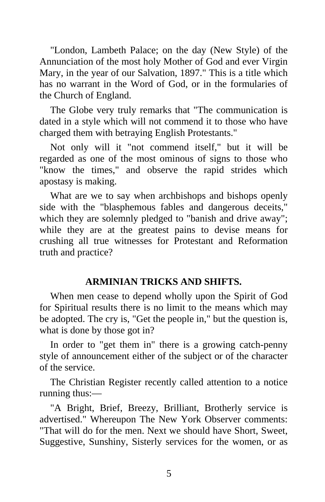"London, Lambeth Palace; on the day (New Style) of the Annunciation of the most holy Mother of God and ever Virgin Mary, in the year of our Salvation, 1897." This is a title which has no warrant in the Word of God, or in the formularies of the Church of England.

The Globe very truly remarks that "The communication is dated in a style which will not commend it to those who have charged them with betraying English Protestants."

Not only will it "not commend itself," but it will be regarded as one of the most ominous of signs to those who "know the times," and observe the rapid strides which apostasy is making.

What are we to say when archbishops and bishops openly side with the "blasphemous fables and dangerous deceits," which they are solemnly pledged to "banish and drive away"; while they are at the greatest pains to devise means for crushing all true witnesses for Protestant and Reformation truth and practice?

# **ARMINIAN TRICKS AND SHIFTS.**

When men cease to depend wholly upon the Spirit of God for Spiritual results there is no limit to the means which may be adopted. The cry is, "Get the people in," but the question is, what is done by those got in?

In order to "get them in" there is a growing catch-penny style of announcement either of the subject or of the character of the service.

The Christian Register recently called attention to a notice running thus:—

"A Bright, Brief, Breezy, Brilliant, Brotherly service is advertised." Whereupon The New York Observer comments: "That will do for the men. Next we should have Short, Sweet, Suggestive, Sunshiny, Sisterly services for the women, or as